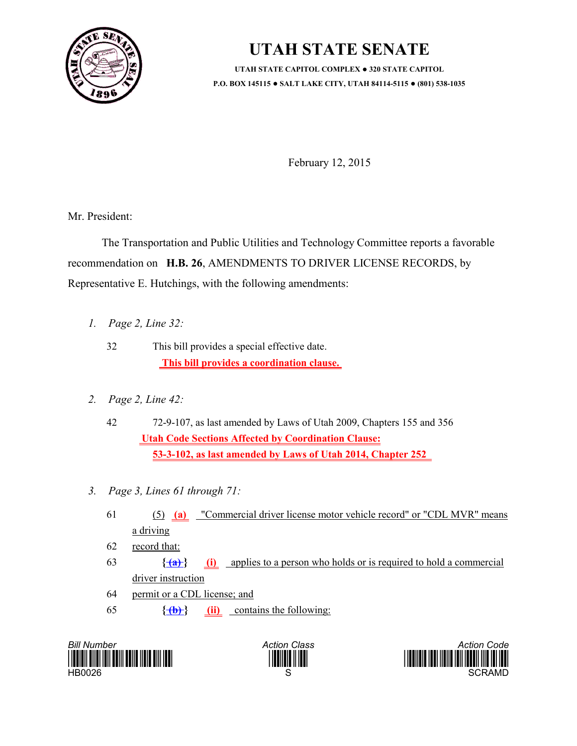

## **UTAH STATE SENATE**

**UTAH STATE CAPITOL COMPLEX** ! **320 STATE CAPITOL P.O. BOX 145115** ! **SALT LAKE CITY, UTAH 84114-5115** ! **(801) 538-1035**

February 12, 2015

Mr. President:

 The Transportation and Public Utilities and Technology Committee reports a favorable recommendation on **H.B. 26**, AMENDMENTS TO DRIVER LICENSE RECORDS, by Representative E. Hutchings, with the following amendments:

- *1. Page 2, Line 32:*
	- 32 This bill provides a special effective date.  **This bill provides a coordination clause.**
- *2. Page 2, Line 42:*
	- 42 72-9-107, as last amended by Laws of Utah 2009, Chapters 155 and 356  **Utah Code Sections Affected by Coordination Clause: 53-3-102, as last amended by Laws of Utah 2014, Chapter 252**
- *3. Page 3, Lines 61 through 71:*
	- 61 (5) **(a)** "Commercial driver license motor vehicle record" or "CDL MVR" means a driving
	- 62 record that:
	- $\{\hat{a}\}\$  (i) applies to a person who holds or is required to hold a commercial driver instruction
	- 64 permit or a CDL license; and
	- 65 **{ (b) } (ii)** contains the following:





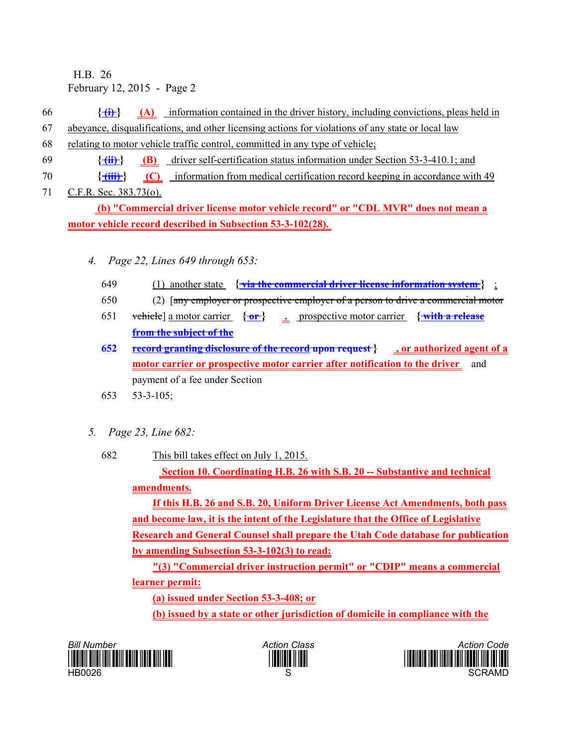H.B. 26 February 12, 2015 - Page 2

66 **{ (i) } (A)** information contained in the driver history, including convictions, pleas held in

67 abeyance, disqualifications, and other licensing actions for violations of any state or local law

- 68 relating to motor vehicle traffic control, committed in any type of vehicle;
- 69 **{ (ii) } (B)** driver self-certification status information under Section 53-3-410.1; and
- 70 **{ (iii) } (C)** information from medical certification record keeping in accordance with 49
- 71 C.F.R. Sec. 383.73(0).

 **(b) "Commercial driver license motor vehicle record" or "CDL MVR" does not mean a motor vehicle record described in Subsection 53-3-102(28).** 

- *4. Page 22, Lines 649 through 653:*
	- 649 (1) another state **{ via the commercial driver license information system }** ;
	- 650 (2) [any employer or prospective employer of a person to drive a commercial motor
	- 651 vehicle] a motor carrier **{ or } { ,** prospective motor carrier **with a release from the subject of the**
	- **652 record granting disclosure of the record upon request } , or authorized agent of a motor carrier or prospective motor carrier after notification to the driver** and payment of a fee under Section
	- 653 53-3-105;
- *5. Page 23, Line 682:*
	- 682 This bill takes effect on July 1, 2015.

 **Section 10. Coordinating H.B. 26 with S.B. 20 -- Substantive and technical amendments.**

**If this H.B. 26 and S.B. 20, Uniform Driver License Act Amendments, both pass and become law, it is the intent of the Legislature that the Office of Legislative Research and General Counsel shall prepare the Utah Code database for publication by amending Subsection 53-3-102(3) to read:**

**"(3) "Commercial driver instruction permit" or "CDIP" means a commercial learner permit:**

**(a) issued under Section 53-3-408; or**

**(b) issued by a state or other jurisdiction of domicile in compliance with the**